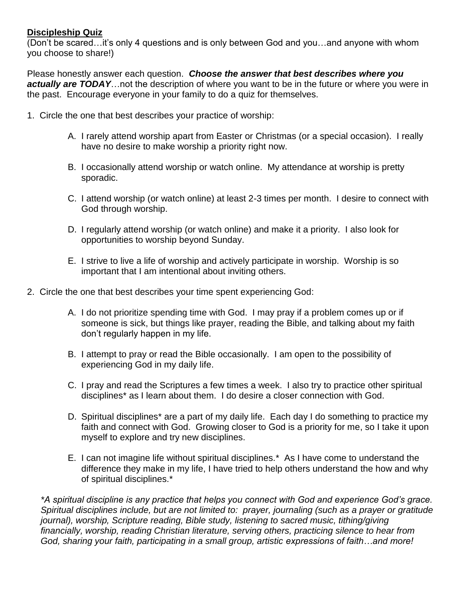## **Discipleship Quiz**

(Don't be scared…it's only 4 questions and is only between God and you…and anyone with whom you choose to share!)

Please honestly answer each question. *Choose the answer that best describes where you actually are TODAY*…not the description of where you want to be in the future or where you were in the past. Encourage everyone in your family to do a quiz for themselves.

- 1. Circle the one that best describes your practice of worship:
	- A. I rarely attend worship apart from Easter or Christmas (or a special occasion). I really have no desire to make worship a priority right now.
	- B. I occasionally attend worship or watch online. My attendance at worship is pretty sporadic.
	- C. I attend worship (or watch online) at least 2-3 times per month. I desire to connect with God through worship.
	- D. I regularly attend worship (or watch online) and make it a priority. I also look for opportunities to worship beyond Sunday.
	- E. I strive to live a life of worship and actively participate in worship. Worship is so important that I am intentional about inviting others.
- 2. Circle the one that best describes your time spent experiencing God:
	- A. I do not prioritize spending time with God. I may pray if a problem comes up or if someone is sick, but things like prayer, reading the Bible, and talking about my faith don't regularly happen in my life.
	- B. I attempt to pray or read the Bible occasionally. I am open to the possibility of experiencing God in my daily life.
	- C. I pray and read the Scriptures a few times a week. I also try to practice other spiritual disciplines\* as I learn about them. I do desire a closer connection with God.
	- D. Spiritual disciplines\* are a part of my daily life. Each day I do something to practice my faith and connect with God. Growing closer to God is a priority for me, so I take it upon myself to explore and try new disciplines.
	- E. I can not imagine life without spiritual disciplines.\* As I have come to understand the difference they make in my life, I have tried to help others understand the how and why of spiritual disciplines.\*

*\*A spiritual discipline is any practice that helps you connect with God and experience God's grace. Spiritual disciplines include, but are not limited to: prayer, journaling (such as a prayer or gratitude journal), worship, Scripture reading, Bible study, listening to sacred music, tithing/giving financially, worship, reading Christian literature, serving others, practicing silence to hear from God, sharing your faith, participating in a small group, artistic expressions of faith…and more!*